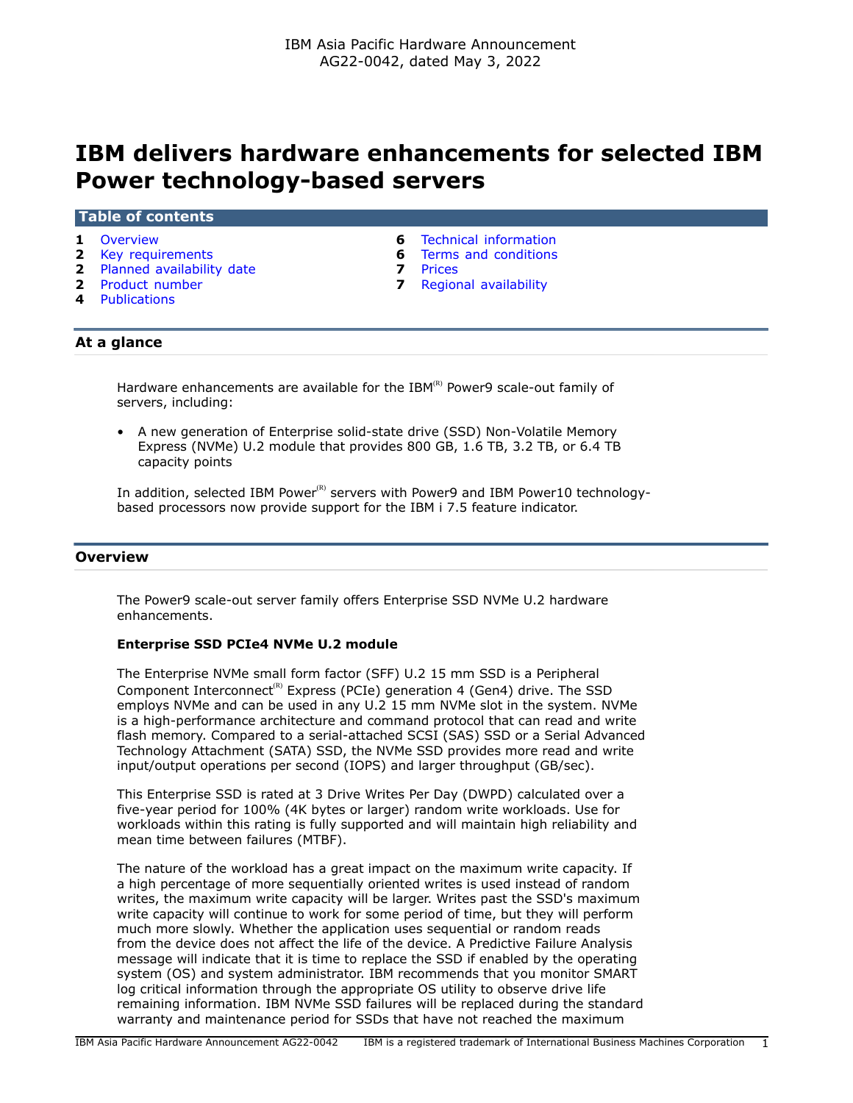# **IBM delivers hardware enhancements for selected IBM Power technology-based servers**

## **Table of contents**

- 
- 
- **2** [Planned availability date](#page-1-1) **7 7**
- 
- **4** [Publications](#page-3-0)
- **1** [Overview](#page-0-0) **6** [Technical information](#page-5-0)
- **2** [Key requirements](#page-1-0) **6** [Terms and conditions](#page-5-1)<br> **2** Planned availability date **6 7** Prices
	-
- **2** [Product number](#page-1-2) **7** [Regional availability](#page-6-1)

# **At a glance**

Hardware enhancements are available for the IBM $(R)$  Power9 scale-out family of servers, including:

• A new generation of Enterprise solid-state drive (SSD) Non-Volatile Memory Express (NVMe) U.2 module that provides 800 GB, 1.6 TB, 3.2 TB, or 6.4 TB capacity points

In addition, selected IBM Power<sup>(R)</sup> servers with Power9 and IBM Power10 technologybased processors now provide support for the IBM i 7.5 feature indicator.

## <span id="page-0-0"></span>**Overview**

The Power9 scale-out server family offers Enterprise SSD NVMe U.2 hardware enhancements.

# **Enterprise SSD PCIe4 NVMe U.2 module**

The Enterprise NVMe small form factor (SFF) U.2 15 mm SSD is a Peripheral Component Interconnect<sup>(R)</sup> Express (PCIe) generation 4 (Gen4) drive. The SSD employs NVMe and can be used in any U.2 15 mm NVMe slot in the system. NVMe is a high-performance architecture and command protocol that can read and write flash memory. Compared to a serial-attached SCSI (SAS) SSD or a Serial Advanced Technology Attachment (SATA) SSD, the NVMe SSD provides more read and write input/output operations per second (IOPS) and larger throughput (GB/sec).

This Enterprise SSD is rated at 3 Drive Writes Per Day (DWPD) calculated over a five-year period for 100% (4K bytes or larger) random write workloads. Use for workloads within this rating is fully supported and will maintain high reliability and mean time between failures (MTBF).

The nature of the workload has a great impact on the maximum write capacity. If a high percentage of more sequentially oriented writes is used instead of random writes, the maximum write capacity will be larger. Writes past the SSD's maximum write capacity will continue to work for some period of time, but they will perform much more slowly. Whether the application uses sequential or random reads from the device does not affect the life of the device. A Predictive Failure Analysis message will indicate that it is time to replace the SSD if enabled by the operating system (OS) and system administrator. IBM recommends that you monitor SMART log critical information through the appropriate OS utility to observe drive life remaining information. IBM NVMe SSD failures will be replaced during the standard warranty and maintenance period for SSDs that have not reached the maximum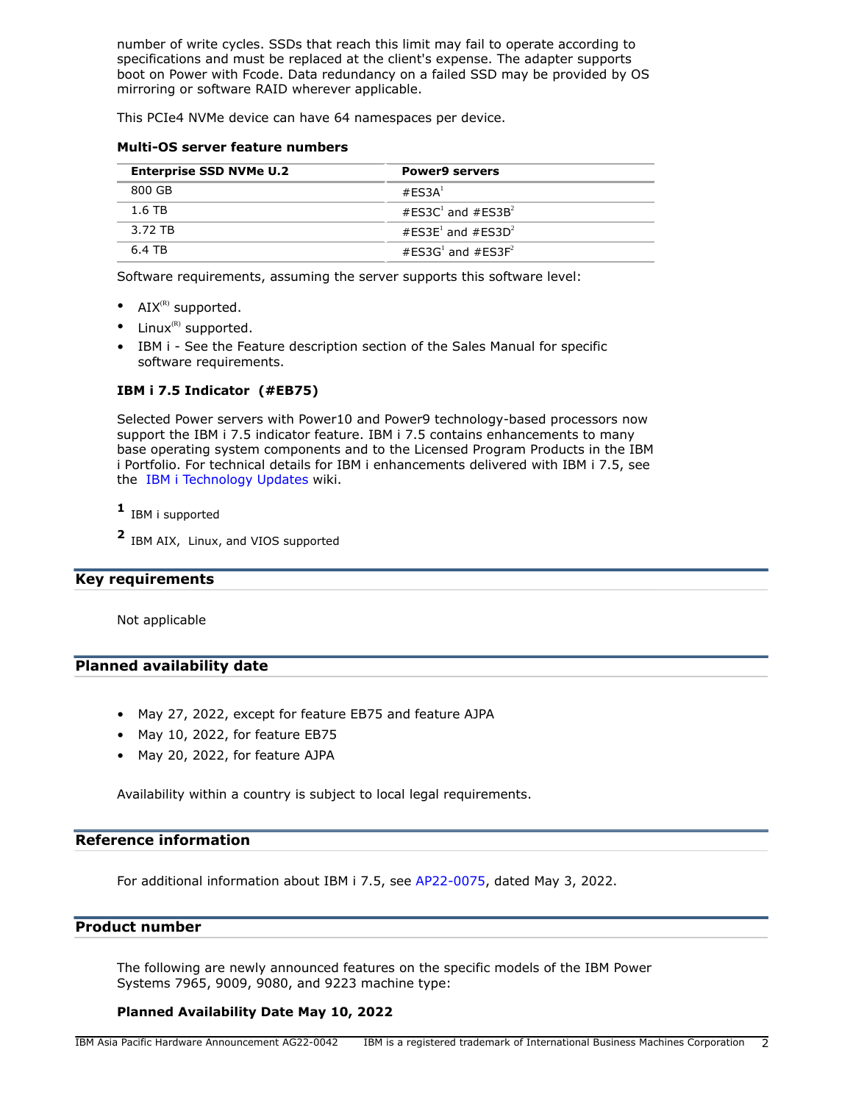number of write cycles. SSDs that reach this limit may fail to operate according to specifications and must be replaced at the client's expense. The adapter supports boot on Power with Fcode. Data redundancy on a failed SSD may be provided by OS mirroring or software RAID wherever applicable.

This PCIe4 NVMe device can have 64 namespaces per device.

## **Multi-OS server feature numbers**

| <b>Enterprise SSD NVMe U.2</b> | <b>Power9 servers</b>                     |
|--------------------------------|-------------------------------------------|
| 800 GB                         | #FSSA <sup>1</sup>                        |
| 1.6 TB                         | #FS3C <sup>1</sup> and #FS3B <sup>2</sup> |
| 3.72 TB                        | #FS3F <sup>1</sup> and #FS3D <sup>2</sup> |
| 6.4 TB                         | #FS3G <sup>1</sup> and #FS3F <sup>2</sup> |

Software requirements, assuming the server supports this software level:

- $AIX^{(R)}$  supported.
- Linux $<sup>(R)</sup>$  supported.</sup>
- IBM i See the Feature description section of the Sales Manual for specific software requirements.

# **IBM i 7.5 Indicator (#EB75)**

Selected Power servers with Power10 and Power9 technology-based processors now support the IBM i 7.5 indicator feature. IBM i 7.5 contains enhancements to many base operating system components and to the Licensed Program Products in the IBM i Portfolio. For technical details for IBM i enhancements delivered with IBM i 7.5, see the [IBM i Technology Updates](https://www.ibm.com/support/pages/node/1119129) wiki.

**1** IBM i supported

**2** IBM AIX, Linux, and VIOS supported

# <span id="page-1-0"></span>**Key requirements**

Not applicable

# <span id="page-1-1"></span>**Planned availability date**

- May 27, 2022, except for feature EB75 and feature AJPA
- May 10, 2022, for feature EB75
- May 20, 2022, for feature AJPA

Availability within a country is subject to local legal requirements.

# **Reference information**

For additional information about IBM i 7.5, see [AP22-0075,](http://www.ibm.com/common/ssi/cgi-bin/ssialias?infotype=an&subtype=ca&appname=gpateam&supplier=872&letternum=ENUSAP22-0075) dated May 3, 2022.

# <span id="page-1-2"></span>**Product number**

The following are newly announced features on the specific models of the IBM Power Systems 7965, 9009, 9080, and 9223 machine type:

# **Planned Availability Date May 10, 2022**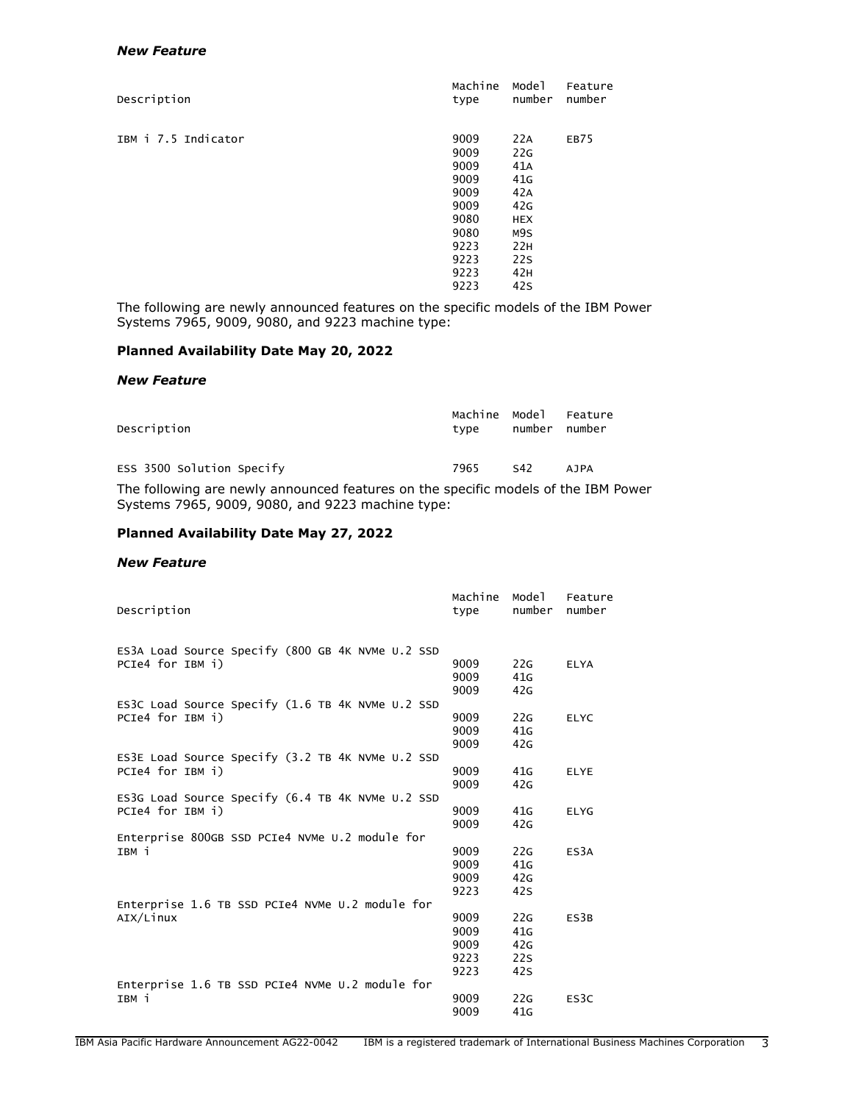# *New Feature*

| Description         | Machine<br>type | Model<br>number | Feature<br>number |
|---------------------|-----------------|-----------------|-------------------|
| IBM i 7.5 Indicator | 9009            | 22A             | EB75              |
|                     | 9009            | 22G             |                   |
|                     | 9009            | 41A             |                   |
|                     | 9009            | 41 <sub>G</sub> |                   |
|                     | 9009            | 42A             |                   |
|                     | 9009            | 42G             |                   |
|                     | 9080            | <b>HEX</b>      |                   |
|                     | 9080            | M9S             |                   |
|                     | 9223            | 22H             |                   |
|                     | 9223            | 22 <sub>S</sub> |                   |
|                     | 9223            | 42H             |                   |
|                     | 9223            | 42s             |                   |

The following are newly announced features on the specific models of the IBM Power Systems 7965, 9009, 9080, and 9223 machine type:

# **Planned Availability Date May 20, 2022**

## *New Feature*

| Description               | tvpe | number number | Machine Model Feature |
|---------------------------|------|---------------|-----------------------|
| ESS 3500 Solution Specify | 7965 | S42           | <b>AJPA</b>           |
|                           |      |               |                       |

The following are newly announced features on the specific models of the IBM Power Systems 7965, 9009, 9080, and 9223 machine type:

# **Planned Availability Date May 27, 2022**

## *New Feature*

| Description                                      | Machine<br>type      | Mode1<br>number               | Feature<br>number |
|--------------------------------------------------|----------------------|-------------------------------|-------------------|
| ES3A Load Source Specify (800 GB 4K NVMe U.2 SSD |                      |                               |                   |
| PCIe4 for IBM i)                                 | 9009<br>9009<br>9009 | 22G<br>41 <sub>G</sub><br>42G | <b>ELYA</b>       |
| ES3C Load Source Specify (1.6 TB 4K NVMe U.2 SSD |                      |                               |                   |
| PCIe4 for IBM i)                                 | 9009<br>9009         | 22G<br>41 <sub>G</sub>        | <b>ELYC</b>       |
| ES3E Load Source Specify (3.2 TB 4K NVMe U.2 SSD | 9009                 | 42G                           |                   |
| PCIe4 for IBM i)                                 | 9009<br>9009         | 41G<br>42G                    | <b>ELYE</b>       |
| ES3G Load Source Specify (6.4 TB 4K NVMe U.2 SSD |                      |                               |                   |
| PCIe4 for IBM i)                                 | 9009<br>9009         | 41G<br>42G                    | <b>ELYG</b>       |
| Enterprise 800GB SSD PCIe4 NVMe U.2 module for   |                      |                               |                   |
| IBM i                                            | 9009                 | 22G                           | ES <sub>3</sub> A |
|                                                  | 9009<br>9009         | 41 <sub>G</sub><br>42G        |                   |
|                                                  | 9223                 | 42S                           |                   |
| Enterprise 1.6 TB SSD PCIe4 NVMe U.2 module for  |                      |                               |                   |
| AIX/Linux                                        | 9009                 | 22G                           | ES3B              |
|                                                  | 9009                 | 41G                           |                   |
|                                                  | 9009                 | 42G                           |                   |
|                                                  | 9223                 | 22S                           |                   |
|                                                  | 9223                 | 42S                           |                   |
| Enterprise 1.6 TB SSD PCIe4 NVMe U.2 module for  |                      |                               |                   |
| IBM i                                            | 9009                 | 22G                           | ES3C              |
|                                                  | 9009                 | 41G                           |                   |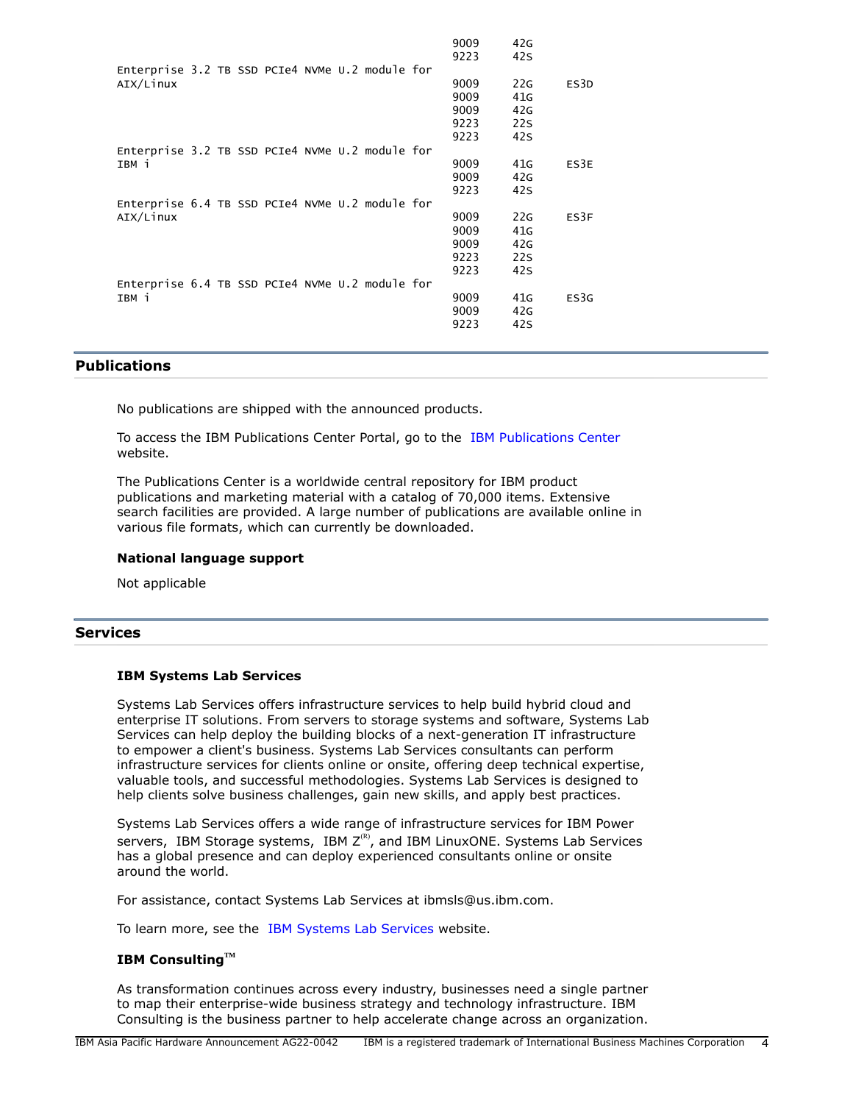| 9009 | 42G             |      |
|------|-----------------|------|
| 9223 | 42s             |      |
|      |                 |      |
| 9009 | 22G             | ES3D |
| 9009 | 41 <sub>G</sub> |      |
| 9009 | 42G             |      |
| 9223 | 22S             |      |
| 9223 | 42s             |      |
|      |                 |      |
| 9009 | 41G             | ES3E |
| 9009 | 42G             |      |
| 9223 | 42s             |      |
|      |                 |      |
| 9009 | 22G             | ES3F |
| 9009 | 41 <sub>G</sub> |      |
| 9009 | 42G             |      |
| 9223 | 22S             |      |
| 9223 | 42s             |      |
|      |                 |      |
| 9009 | 41G             | ES3G |
| 9009 | 42G             |      |
| 9223 | 42s             |      |
|      |                 |      |

# <span id="page-3-0"></span>**Publications**

No publications are shipped with the announced products.

To access the IBM Publications Center Portal, go to the [IBM Publications Center](https://www.ibm.com/resources/publications) website.

The Publications Center is a worldwide central repository for IBM product publications and marketing material with a catalog of 70,000 items. Extensive search facilities are provided. A large number of publications are available online in various file formats, which can currently be downloaded.

#### **National language support**

Not applicable

# **Services**

#### **IBM Systems Lab Services**

Systems Lab Services offers infrastructure services to help build hybrid cloud and enterprise IT solutions. From servers to storage systems and software, Systems Lab Services can help deploy the building blocks of a next-generation IT infrastructure to empower a client's business. Systems Lab Services consultants can perform infrastructure services for clients online or onsite, offering deep technical expertise, valuable tools, and successful methodologies. Systems Lab Services is designed to help clients solve business challenges, gain new skills, and apply best practices.

Systems Lab Services offers a wide range of infrastructure services for IBM Power servers, IBM Storage systems, IBM  $Z^{(R)}$ , and IBM LinuxONE. Systems Lab Services has a global presence and can deploy experienced consultants online or onsite around the world.

For assistance, contact Systems Lab Services at ibmsls@us.ibm.com.

To learn more, see the [IBM Systems Lab Services](https://www.ibm.com/it-infrastructure/services/lab-services) website.

# **IBM ConsultingTM**

As transformation continues across every industry, businesses need a single partner to map their enterprise-wide business strategy and technology infrastructure. IBM Consulting is the business partner to help accelerate change across an organization.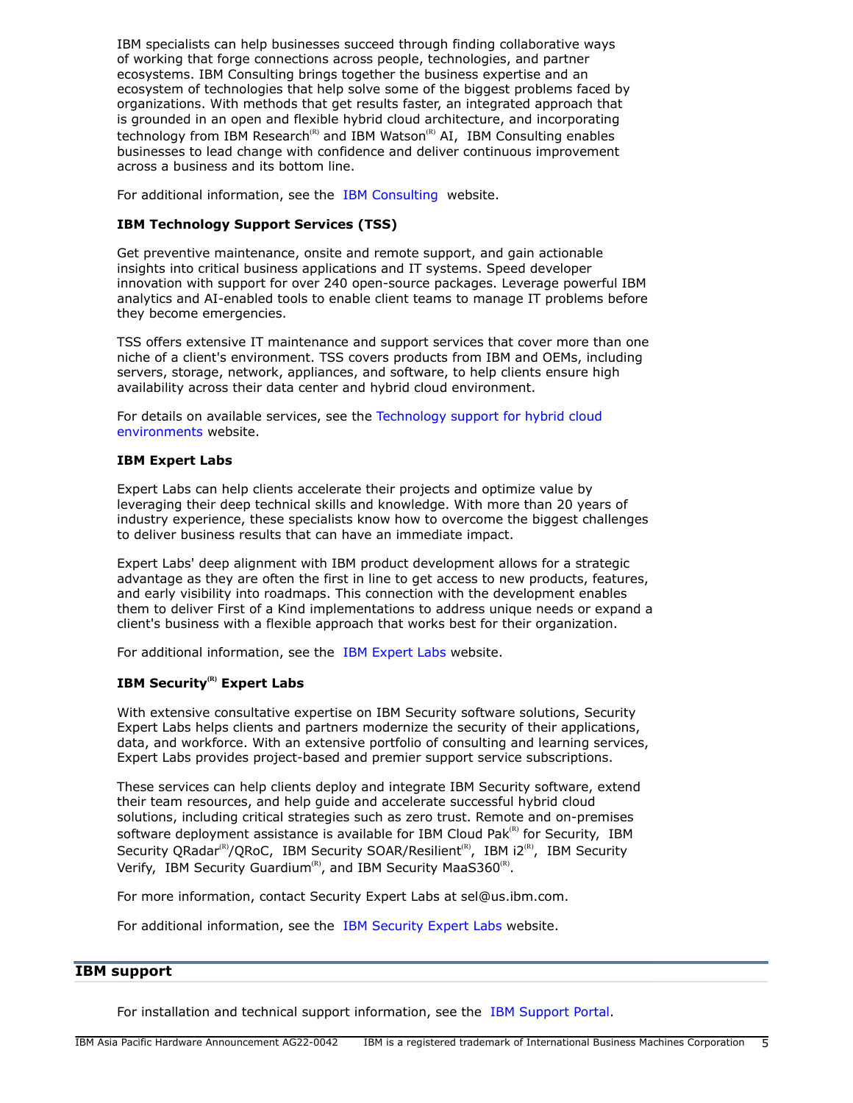IBM specialists can help businesses succeed through finding collaborative ways of working that forge connections across people, technologies, and partner ecosystems. IBM Consulting brings together the business expertise and an ecosystem of technologies that help solve some of the biggest problems faced by organizations. With methods that get results faster, an integrated approach that is grounded in an open and flexible hybrid cloud architecture, and incorporating technology from IBM Research<sup>(R)</sup> and IBM Watson<sup>(R)</sup> AI, IBM Consulting enables businesses to lead change with confidence and deliver continuous improvement across a business and its bottom line.

For additional information, see the [IBM Consulting](https://www.ibm.com/consulting) website.

# **IBM Technology Support Services (TSS)**

Get preventive maintenance, onsite and remote support, and gain actionable insights into critical business applications and IT systems. Speed developer innovation with support for over 240 open-source packages. Leverage powerful IBM analytics and AI-enabled tools to enable client teams to manage IT problems before they become emergencies.

TSS offers extensive IT maintenance and support services that cover more than one niche of a client's environment. TSS covers products from IBM and OEMs, including servers, storage, network, appliances, and software, to help clients ensure high availability across their data center and hybrid cloud environment.

For details on available services, see the [Technology support for hybrid cloud](https://www.ibm.com/services/technology-support) [environments](https://www.ibm.com/services/technology-support) website.

# **IBM Expert Labs**

Expert Labs can help clients accelerate their projects and optimize value by leveraging their deep technical skills and knowledge. With more than 20 years of industry experience, these specialists know how to overcome the biggest challenges to deliver business results that can have an immediate impact.

Expert Labs' deep alignment with IBM product development allows for a strategic advantage as they are often the first in line to get access to new products, features, and early visibility into roadmaps. This connection with the development enables them to deliver First of a Kind implementations to address unique needs or expand a client's business with a flexible approach that works best for their organization.

For additional information, see the [IBM Expert Labs](https://www.ibm.com/products/expertlabs) website.

# **IBM Security(R) Expert Labs**

With extensive consultative expertise on IBM Security software solutions, Security Expert Labs helps clients and partners modernize the security of their applications, data, and workforce. With an extensive portfolio of consulting and learning services, Expert Labs provides project-based and premier support service subscriptions.

These services can help clients deploy and integrate IBM Security software, extend their team resources, and help guide and accelerate successful hybrid cloud solutions, including critical strategies such as zero trust. Remote and on-premises software deployment assistance is available for IBM Cloud Pak $R<sup>(R)</sup>$  for Security, IBM Security QRadar<sup>(R)</sup>/QRoC, IBM Security SOAR/Resilient<sup>(R)</sup>, IBM i2<sup>(R)</sup>, IBM Security Verify, IBM Security Guardium<sup>(R)</sup>, and IBM Security MaaS360<sup>(R)</sup>.

For more information, contact Security Expert Labs at sel@us.ibm.com.

For additional information, see the [IBM Security Expert Labs](https://www.ibm.com/security/security-expert-labs) website.

## **IBM support**

For installation and technical support information, see the [IBM Support Portal.](https://www.ibm.com/mysupport/s/?language=en_US)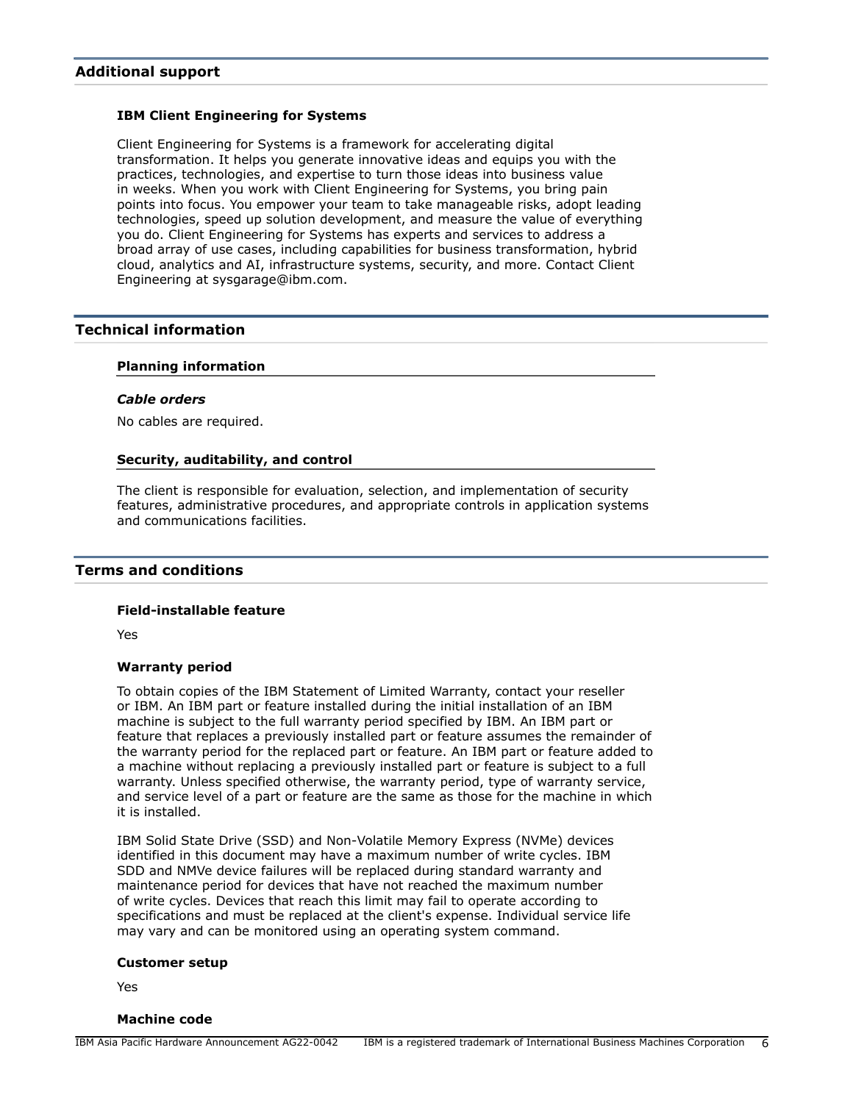# **IBM Client Engineering for Systems**

Client Engineering for Systems is a framework for accelerating digital transformation. It helps you generate innovative ideas and equips you with the practices, technologies, and expertise to turn those ideas into business value in weeks. When you work with Client Engineering for Systems, you bring pain points into focus. You empower your team to take manageable risks, adopt leading technologies, speed up solution development, and measure the value of everything you do. Client Engineering for Systems has experts and services to address a broad array of use cases, including capabilities for business transformation, hybrid cloud, analytics and AI, infrastructure systems, security, and more. Contact Client Engineering at sysgarage@ibm.com.

# <span id="page-5-0"></span>**Technical information**

### **Planning information**

#### *Cable orders*

No cables are required.

### **Security, auditability, and control**

The client is responsible for evaluation, selection, and implementation of security features, administrative procedures, and appropriate controls in application systems and communications facilities.

## <span id="page-5-1"></span>**Terms and conditions**

## **Field-installable feature**

Yes

### **Warranty period**

To obtain copies of the IBM Statement of Limited Warranty, contact your reseller or IBM. An IBM part or feature installed during the initial installation of an IBM machine is subject to the full warranty period specified by IBM. An IBM part or feature that replaces a previously installed part or feature assumes the remainder of the warranty period for the replaced part or feature. An IBM part or feature added to a machine without replacing a previously installed part or feature is subject to a full warranty. Unless specified otherwise, the warranty period, type of warranty service, and service level of a part or feature are the same as those for the machine in which it is installed.

IBM Solid State Drive (SSD) and Non-Volatile Memory Express (NVMe) devices identified in this document may have a maximum number of write cycles. IBM SDD and NMVe device failures will be replaced during standard warranty and maintenance period for devices that have not reached the maximum number of write cycles. Devices that reach this limit may fail to operate according to specifications and must be replaced at the client's expense. Individual service life may vary and can be monitored using an operating system command.

## **Customer setup**

Yes

#### **Machine code**